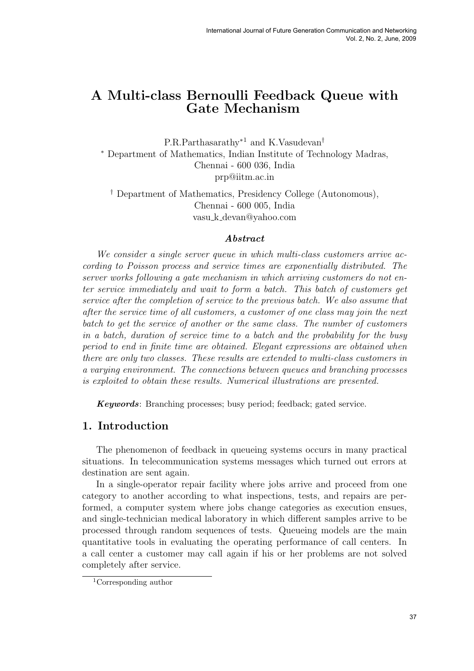# A Multi-class Bernoulli Feedback Queue with Gate Mechanism

P.R.Parthasarathy<sup>∗</sup><sup>1</sup> and K.Vasudevan† <sup>∗</sup> Department of Mathematics, Indian Institute of Technology Madras, Chennai - 600 036, India prp@iitm.ac.in

† Department of Mathematics, Presidency College (Autonomous), Chennai - 600 005, India vasu k devan@yahoo.com

### Abstract

We consider a single server queue in which multi-class customers arrive according to Poisson process and service times are exponentially distributed. The server works following a gate mechanism in which arriving customers do not enter service immediately and wait to form a batch. This batch of customers get service after the completion of service to the previous batch. We also assume that after the service time of all customers, a customer of one class may join the next batch to get the service of another or the same class. The number of customers in a batch, duration of service time to a batch and the probability for the busy period to end in finite time are obtained. Elegant expressions are obtained when there are only two classes. These results are extended to multi-class customers in a varying environment. The connections between queues and branching processes is exploited to obtain these results. Numerical illustrations are presented.

Keywords: Branching processes; busy period; feedback; gated service.

# 1. Introduction

The phenomenon of feedback in queueing systems occurs in many practical situations. In telecommunication systems messages which turned out errors at destination are sent again.

In a single-operator repair facility where jobs arrive and proceed from one category to another according to what inspections, tests, and repairs are performed, a computer system where jobs change categories as execution ensues, and single-technician medical laboratory in which different samples arrive to be processed through random sequences of tests. Queueing models are the main quantitative tools in evaluating the operating performance of call centers. In a call center a customer may call again if his or her problems are not solved completely after service.

<sup>1</sup>Corresponding author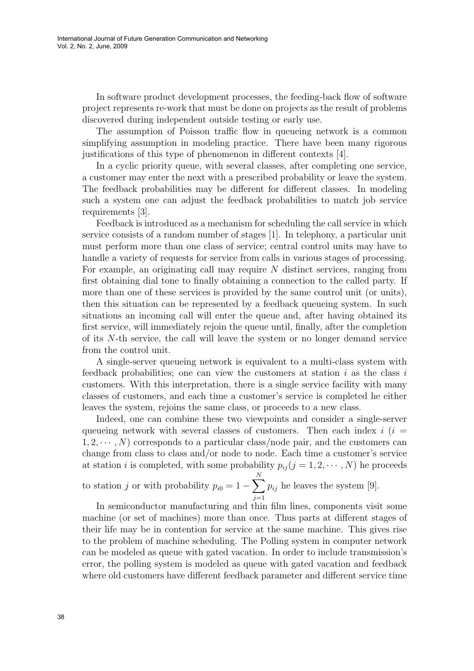In software product development processes, the feeding-back flow of software project represents re-work that must be done on projects as the result of problems discovered during independent outside testing or early use.

The assumption of Poisson traffic flow in queueing network is a common simplifying assumption in modeling practice. There have been many rigorous justifications of this type of phenomenon in different contexts [4].

In a cyclic priority queue, with several classes, after completing one service, a customer may enter the next with a prescribed probability or leave the system. The feedback probabilities may be different for different classes. In modeling such a system one can adjust the feedback probabilities to match job service requirements [3].

Feedback is introduced as a mechanism for scheduling the call service in which service consists of a random number of stages [1]. In telephony, a particular unit must perform more than one class of service; central control units may have to handle a variety of requests for service from calls in various stages of processing. For example, an originating call may require N distinct services, ranging from first obtaining dial tone to finally obtaining a connection to the called party. If more than one of these services is provided by the same control unit (or units), then this situation can be represented by a feedback queueing system. In such situations an incoming call will enter the queue and, after having obtained its first service, will immediately rejoin the queue until, finally, after the completion of its N-th service, the call will leave the system or no longer demand service from the control unit.

A single-server queueing network is equivalent to a multi-class system with feedback probabilities; one can view the customers at station  $i$  as the class  $i$ customers. With this interpretation, there is a single service facility with many classes of customers, and each time a customer's service is completed he either leaves the system, rejoins the same class, or proceeds to a new class.

Indeed, one can combine these two viewpoints and consider a single-server queueing network with several classes of customers. Then each index  $i$  ( $i =$  $1, 2, \dots, N$  corresponds to a particular class/node pair, and the customers can change from class to class and/or node to node. Each time a customer's service at station *i* is completed, with some probability  $p_{ij}$  ( $j = 1, 2, \dots, N$ ) he proceeds

to station j or with probability  $p_{i0} = 1 \frac{N}{\sqrt{N}}$  $j=1$  $p_{ij}$  he leaves the system [9].

In semiconductor manufacturing and thin film lines, components visit some machine (or set of machines) more than once. Thus parts at different stages of their life may be in contention for service at the same machine. This gives rise to the problem of machine scheduling. The Polling system in computer network can be modeled as queue with gated vacation. In order to include transmission's error, the polling system is modeled as queue with gated vacation and feedback where old customers have different feedback parameter and different service time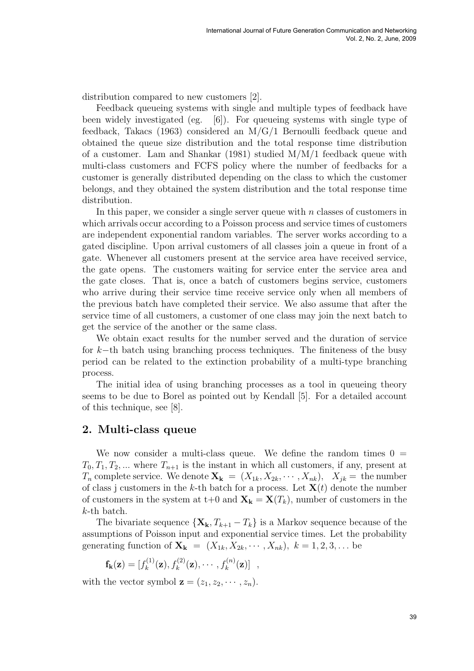distribution compared to new customers [2].

Feedback queueing systems with single and multiple types of feedback have been widely investigated (eg. [6]). For queueing systems with single type of feedback, Takacs (1963) considered an M/G/1 Bernoulli feedback queue and obtained the queue size distribution and the total response time distribution of a customer. Lam and Shankar (1981) studied M/M/1 feedback queue with multi-class customers and FCFS policy where the number of feedbacks for a customer is generally distributed depending on the class to which the customer belongs, and they obtained the system distribution and the total response time distribution.

In this paper, we consider a single server queue with  $n$  classes of customers in which arrivals occur according to a Poisson process and service times of customers are independent exponential random variables. The server works according to a gated discipline. Upon arrival customers of all classes join a queue in front of a gate. Whenever all customers present at the service area have received service, the gate opens. The customers waiting for service enter the service area and the gate closes. That is, once a batch of customers begins service, customers who arrive during their service time receive service only when all members of the previous batch have completed their service. We also assume that after the service time of all customers, a customer of one class may join the next batch to get the service of the another or the same class.

We obtain exact results for the number served and the duration of service for k−th batch using branching process techniques. The finiteness of the busy period can be related to the extinction probability of a multi-type branching process.

The initial idea of using branching processes as a tool in queueing theory seems to be due to Borel as pointed out by Kendall [5]. For a detailed account of this technique, see [8].

## 2. Multi-class queue

We now consider a multi-class queue. We define the random times  $0 =$  $T_0, T_1, T_2, \dots$  where  $T_{n+1}$  is the instant in which all customers, if any, present at  $T_n$  complete service. We denote  $\mathbf{X_k} = (X_{1k}, X_{2k}, \cdots, X_{nk}), \quad X_{jk} = \text{the number}$ of class j customers in the k-th batch for a process. Let  $X(t)$  denote the number of customers in the system at t+0 and  $\mathbf{X}_k = \mathbf{X}(T_k)$ , number of customers in the k-th batch.

The bivariate sequence  $\{X_k, T_{k+1} - T_k\}$  is a Markov sequence because of the assumptions of Poisson input and exponential service times. Let the probability generating function of  $\mathbf{X}_k = (X_{1k}, X_{2k}, \cdots, X_{nk}), k = 1, 2, 3, \dots$  be

$$
\mathbf{f}_{\mathbf{k}}(\mathbf{z}) = [f_k^{(1)}(\mathbf{z}), f_k^{(2)}(\mathbf{z}), \cdots, f_k^{(n)}(\mathbf{z})],
$$

with the vector symbol  $\mathbf{z} = (z_1, z_2, \cdots, z_n)$ .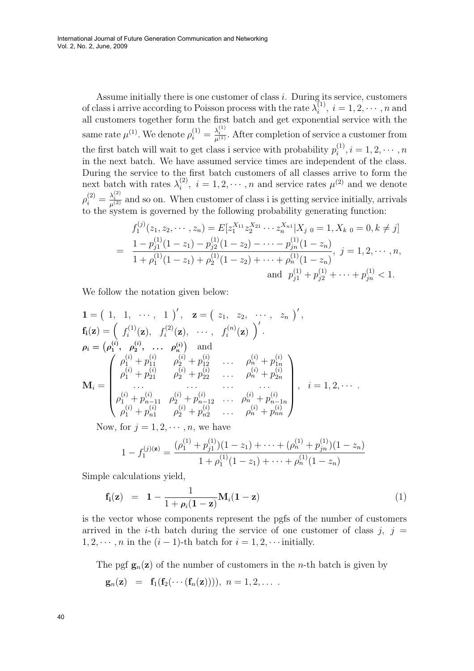Assume initially there is one customer of class  $i$ . During its service, customers of class i arrive according to Poisson process with the rate  $\lambda_i^{(1)}$ ,  $i = 1, 2, \cdots, n$  and i all customers together form the first batch and get exponential service with the same rate  $\mu^{(1)}$ . We denote  $\rho_i^{(1)} = \frac{\lambda_i^{(1)}}{\mu^{(1)}}$ . After completion of service a customer from the first batch will wait to get class i service with probability  $p_i^{(1)}$  $i^{(1)}$ ,  $i = 1, 2, \cdots, n$ in the next batch. We have assumed service times are independent of the class. During the service to the first batch customers of all classes arrive to form the next batch with rates  $\lambda_i^{(2)}$  $i^{(2)}$ ,  $i = 1, 2, \dots, n$  and service rates  $\mu^{(2)}$  and we denote  $\rho_i^{(2)} = \frac{\lambda_i^{(2)}}{\mu^{(2)}}$  and so on. When customer of class i is getting service initially, arrivals to the system is governed by the following probability generating function:

$$
f_1^{(j)}(z_1, z_2, \dots, z_n) = E[z_1^{X_{11}} z_2^{X_{21}} \cdots z_n^{X_{n1}} | X_j \text{ o} = 1, X_k \text{ o} = 0, k \neq j]
$$
  
= 
$$
\frac{1 - p_{j1}^{(1)}(1 - z_1) - p_{j2}^{(1)}(1 - z_2) - \cdots - p_{jn}^{(1)}(1 - z_n)}{1 + \rho_1^{(1)}(1 - z_1) + \rho_2^{(1)}(1 - z_2) + \cdots + \rho_n^{(1)}(1 - z_n)}, \quad j = 1, 2, \dots, n,
$$
  
and 
$$
p_{j1}^{(1)} + p_{j2}^{(1)} + \cdots + p_{jn}^{(1)} < 1.
$$

We follow the notation given below:

$$
\mathbf{1} = (1, 1, \cdots, 1)', \quad \mathbf{z} = (z_1, z_2, \cdots, z_n)',
$$
\n
$$
\mathbf{f_i}(\mathbf{z}) = \left(f_i^{(1)}(\mathbf{z}), f_i^{(2)}(\mathbf{z}), \cdots, f_i^{(n)}(\mathbf{z})\right)',
$$
\n
$$
\rho_i = (\rho_1^{(i)}, \rho_2^{(i)}, \cdots, \rho_n^{(i)}) \quad \text{and}
$$
\n
$$
\mathbf{M_i} = \begin{pmatrix}\n\rho_1^{(i)} + p_{11}^{(i)} & \rho_2^{(i)} + p_{12}^{(i)} & \cdots & \rho_n^{(i)} + p_{1n}^{(i)} \\
\rho_1^{(i)} + p_{21}^{(i)} & \rho_2^{(i)} + p_{22}^{(i)} & \cdots & \rho_n^{(i)} + p_{2n}^{(i)} \\
\cdots & \cdots & \cdots & \cdots \\
\rho_1^{(i)} + p_{n-11}^{(i)} & \rho_2^{(i)} + p_{n-12}^{(i)} & \cdots & \rho_n^{(i)} + p_{n-1n}^{(i)} \\
\rho_1^{(i)} + p_{n1}^{(i)} & \rho_2^{(i)} + p_{n2}^{(i)} & \cdots & \rho_n^{(i)} + p_{nn}^{(i)}\n\end{pmatrix}, i = 1, 2, \cdots
$$

Now, for  $j = 1, 2, \cdots, n$ , we have

$$
1 - f_1^{(j)(\mathbf{z})} = \frac{(\rho_1^{(1)} + \rho_{j1}^{(1)})(1 - z_1) + \dots + (\rho_n^{(1)} + \rho_{jn}^{(1)})(1 - z_n)}{1 + \rho_1^{(1)}(1 - z_1) + \dots + \rho_n^{(1)}(1 - z_n)}
$$

Simple calculations yield,

$$
\mathbf{f_i(z)} = \mathbf{1} - \frac{1}{1 + \rho_i(1 - z)} \mathbf{M}_i(1 - z) \tag{1}
$$

is the vector whose components represent the pgfs of the number of customers arrived in the *i*-th batch during the service of one customer of class  $j, j =$  $1, 2, \dots, n$  in the  $(i - 1)$ -th batch for  $i = 1, 2, \dots$  initially.

The pgf  $\mathbf{g}_n(\mathbf{z})$  of the number of customers in the *n*-th batch is given by

$$
\mathbf{g}_n(\mathbf{z}) = \mathbf{f}_1(\mathbf{f}_2(\cdots(\mathbf{f}_n(\mathbf{z}))))
$$
,  $n = 1, 2, \ldots$ .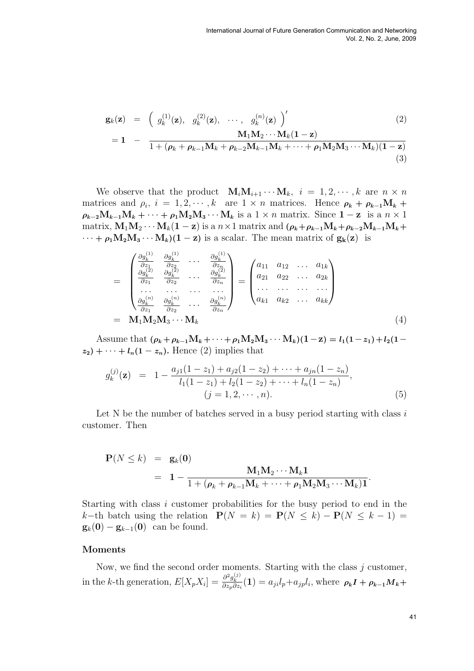$$
\mathbf{g}_k(\mathbf{z}) = \left( g_k^{(1)}(\mathbf{z}), g_k^{(2)}(\mathbf{z}), \cdots, g_k^{(n)}(\mathbf{z}) \right)'
$$
  

$$
\mathbf{M}_1 \mathbf{M}_2 \cdots \mathbf{M}_k (\mathbf{1} - \mathbf{z})
$$
 (2)

$$
= 1 - \frac{m_1m_2 + m_k + 2j}{1 + (\rho_k + \rho_{k-1}M_k + \rho_{k-2}M_{k-1}M_k + \cdots + \rho_1M_2M_3\cdots M_k)(1-z)}
$$
\n(3)

We observe that the product  $\mathbf{M}_i \mathbf{M}_{i+1} \cdots \mathbf{M}_k$ ,  $i = 1, 2, \cdots, k$  are  $n \times n$ matrices and  $\rho_i$ ,  $i = 1, 2, \dots, k$  are  $1 \times n$  matrices. Hence  $\rho_k + \rho_{k-1} M_k$  +  $\rho_{k-2}M_{k-1}M_k+\cdots+\rho_1M_2M_3\cdots M_k$  is a  $1\times n$  matrix. Since  $1-z$  is a  $n\times 1$ matrix,  $M_1M_2 \cdots M_k(1 - z)$  is a  $n \times 1$  matrix and  $(\rho_k + \rho_{k-1}M_k + \rho_{k-2}M_{k-1}M_k + z)$  $\cdots + \rho_1 M_2 M_3 \cdots M_k$  $(1 - z)$  is a scalar. The mean matrix of  $g_k(z)$  is

$$
= \begin{pmatrix} \frac{\partial g_k^{(1)}}{\partial z_1} & \frac{\partial g_k^{(1)}}{\partial z_2} & \cdots & \frac{\partial g_k^{(1)}}{\partial z_n} \\ \frac{\partial g_k^{(2)}}{\partial z_1} & \frac{\partial g_k^{(2)}}{\partial z_2} & \cdots & \frac{\partial g_k^{(2)}}{\partial z_n} \\ \cdots & \cdots & \cdots & \cdots \\ \frac{\partial g_k^{(n)}}{\partial z_1} & \frac{\partial g_k^{(n)}}{\partial z_2} & \cdots & \frac{\partial g_k^{(n)}}{\partial z_n} \end{pmatrix} = \begin{pmatrix} a_{11} & a_{12} & \cdots & a_{1k} \\ a_{21} & a_{22} & \cdots & a_{2k} \\ \cdots & \cdots & \cdots & \cdots \\ a_{k1} & a_{k2} & \cdots & a_{kk} \end{pmatrix}
$$
  
= 
$$
\mathbf{M}_1 \mathbf{M}_2 \mathbf{M}_3 \cdots \mathbf{M}_k
$$
 (4)

Assume that  $(\rho_k + \rho_{k-1}M_k + \cdots + \rho_1M_2M_3 \cdots M_k)(1-z) = l_1(1-z_1) + l_2(1-z_2)$  $z_2$ ) + · · · +  $l_n(1-z_n)$ . Hence (2) implies that

$$
g_k^{(j)}(\mathbf{z}) = 1 - \frac{a_{j1}(1-z_1) + a_{j2}(1-z_2) + \dots + a_{jn}(1-z_n)}{l_1(1-z_1) + l_2(1-z_2) + \dots + l_n(1-z_n)},
$$
  
\n
$$
(j = 1, 2, \dots, n).
$$
\n(5)

Let N be the number of batches served in a busy period starting with class  $i$ customer. Then

$$
\mathbf{P}(N \leq k) = \mathbf{g}_k(\mathbf{0})
$$
  
=  $\mathbf{1} - \frac{\mathbf{M}_1 \mathbf{M}_2 \cdots \mathbf{M}_k \mathbf{1}}{1 + (\rho_k + \rho_{k-1} \mathbf{M}_k + \cdots + \rho_1 \mathbf{M}_2 \mathbf{M}_3 \cdots \mathbf{M}_k) \mathbf{1}}.$ 

Starting with class i customer probabilities for the busy period to end in the k−th batch using the relation  $P(N = k) = P(N \le k) - P(N \le k-1)$  $\mathbf{g}_k(\mathbf{0}) - \mathbf{g}_{k-1}(\mathbf{0})$  can be found.

#### Moments

Now, we find the second order moments. Starting with the class  $j$  customer, in the k-th generation,  $E[X_p X_i] = \frac{\partial^2 g_k^{(j)}}{\partial z_p \partial z_i} (1) = a_{ji} l_p + a_{jp} l_i$ , where  $\rho_k I + \rho_{k-1} M_k +$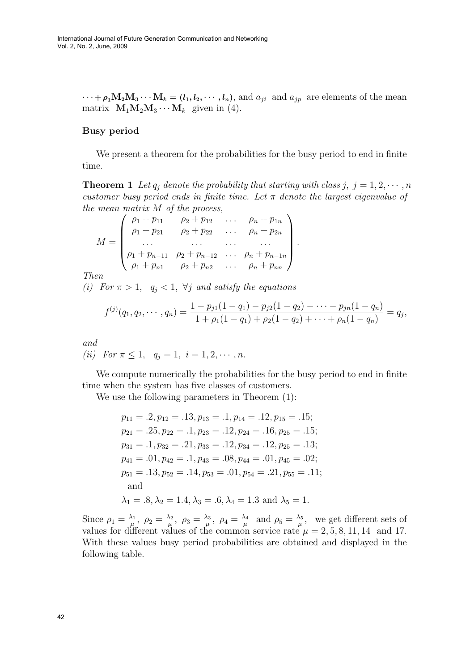$\cdots + \rho_1 \mathbf{M}_2 \mathbf{M}_3 \cdots \mathbf{M}_k = (l_1, l_2, \cdots, l_n)$ , and  $a_{ji}$  and  $a_{jp}$  are elements of the mean matrix  $M_1M_2M_3\cdots M_k$  given in (4).

### Busy period

We present a theorem for the probabilities for the busy period to end in finite time.

**Theorem 1** Let  $q_j$  denote the probability that starting with class  $j, j = 1, 2, \dots, n$ customer busy period ends in finite time. Let  $\pi$  denote the largest eigenvalue of the mean matrix  $M$  of the process,  $\mathbf{r}$ 

$$
M = \begin{pmatrix} \rho_1 + p_{11} & \rho_2 + p_{12} & \dots & \rho_n + p_{1n} \\ \rho_1 + p_{21} & \rho_2 + p_{22} & \dots & \rho_n + p_{2n} \\ \dots & \dots & \dots & \dots \\ \rho_1 + p_{n-11} & \rho_2 + p_{n-12} & \dots & \rho_n + p_{n-1n} \\ \rho_1 + p_{n1} & \rho_2 + p_{n2} & \dots & \rho_n + p_{nn} \end{pmatrix}
$$

Then

(i) For  $\pi > 1$ ,  $q_i < 1$ ,  $\forall j$  and satisfy the equations

$$
f^{(j)}(q_1, q_2, \cdots, q_n) = \frac{1 - p_{j1}(1 - q_1) - p_{j2}(1 - q_2) - \cdots - p_{jn}(1 - q_n)}{1 + \rho_1(1 - q_1) + \rho_2(1 - q_2) + \cdots + \rho_n(1 - q_n)} = q_j,
$$

.

and

(ii) For  $\pi \leq 1$ ,  $q_i = 1$ ,  $i = 1, 2, \cdots, n$ .

We compute numerically the probabilities for the busy period to end in finite time when the system has five classes of customers.

We use the following parameters in Theorem (1):

 $p_{11} = .2, p_{12} = .13, p_{13} = .1, p_{14} = .12, p_{15} = .15;$  $p_{21} = .25, p_{22} = .1, p_{23} = .12, p_{24} = .16, p_{25} = .15;$  $p_{31} = .1, p_{32} = .21, p_{33} = .12, p_{34} = .12, p_{25} = .13;$  $p_{41} = .01, p_{42} = .1, p_{43} = .08, p_{44} = .01, p_{45} = .02;$  $p_{51} = .13, p_{52} = .14, p_{53} = .01, p_{54} = .21, p_{55} = .11;$ and  $\lambda_1 = .8, \lambda_2 = 1.4, \lambda_3 = .6, \lambda_4 = 1.3$  and  $\lambda_5 = 1.5$ .

Since  $\rho_1 = \frac{\lambda_1}{\mu}$  $\frac{\lambda_1}{\mu},\,\,\rho_2=\frac{\lambda_2}{\mu}$  $\frac{\lambda_2}{\mu},\ \rho_3=\frac{\lambda_3}{\mu}$  $\frac{\lambda_3}{\mu},\ \rho_4=\frac{\lambda_4}{\mu}$  $\frac{\lambda_4}{\mu}$  and  $\rho_5 = \frac{\lambda_5}{\mu}$  $\frac{\lambda_5}{\mu}$ , we get different sets of values for different values of the common service rate  $\mu = 2, 5, 8, 11, 14$  and 17. With these values busy period probabilities are obtained and displayed in the following table.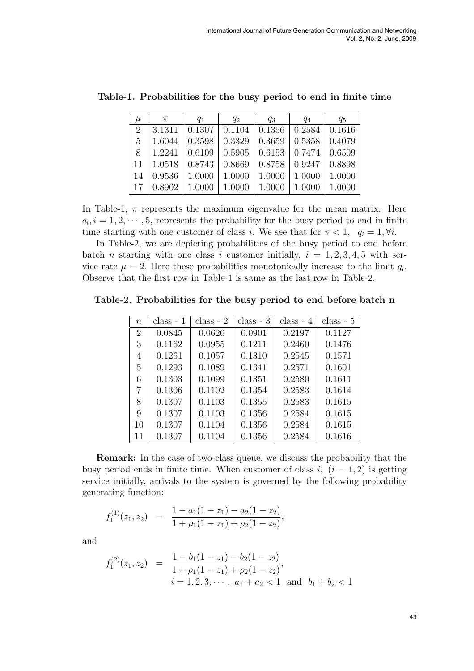| $\mu$           | $\pi$  | $q_{1}$                                                              | $q_{2}$              | $q_3$                                    | $q_4$                | $q_5$  |
|-----------------|--------|----------------------------------------------------------------------|----------------------|------------------------------------------|----------------------|--------|
| 2               |        | $3.1311 \mid 0.1307 \mid 0.1104 \mid 0.1356 \mid 0.2584 \mid 0.1616$ |                      |                                          |                      |        |
| $5\overline{)}$ | 1.6044 | 0.3598                                                               | $\mid 0.3329$        | $\vert 0.3659 \vert 0.5358 \vert 0.4079$ |                      |        |
| 8               | 1.2241 | $\mid 0.6109 \mid 0.5905 \mid 0.6153 \mid 0.7474$                    |                      |                                          |                      | 0.6509 |
| 11              | 1.0518 | 0.8743                                                               | 0.8669               |                                          | $0.8758 \mid 0.9247$ | 0.8898 |
| 14              | 0.9536 | 1.0000                                                               | $1.0000 \mid 1.0000$ |                                          | 1.0000               | 1.0000 |
| -17             | 0.8902 | 1.0000                                                               | 1.0000               | 1.0000                                   | 1.0000               | 1.0000 |

Table-1. Probabilities for the busy period to end in finite time

In Table-1,  $\pi$  represents the maximum eigenvalue for the mean matrix. Here  $q_i, i = 1, 2, \dots, 5$ , represents the probability for the busy period to end in finite time starting with one customer of class i. We see that for  $\pi < 1$ ,  $q_i = 1, \forall i$ .

In Table-2, we are depicting probabilities of the busy period to end before batch *n* starting with one class *i* customer initially,  $i = 1, 2, 3, 4, 5$  with service rate  $\mu = 2$ . Here these probabilities monotonically increase to the limit  $q_i$ . Observe that the first row in Table-1 is same as the last row in Table-2.

Table-2. Probabilities for the busy period to end before batch n

| $n_{\rm }$     | $class - 1$ | $class - 2$ | $class - 3$ | $class - 4$ | $class - 5$ |
|----------------|-------------|-------------|-------------|-------------|-------------|
| $\overline{2}$ | 0.0845      | 0.0620      | 0.0901      | 0.2197      | 0.1127      |
| 3              | 0.1162      | 0.0955      | 0.1211      | 0.2460      | 0.1476      |
| 4              | 0.1261      | 0.1057      | 0.1310      | 0.2545      | 0.1571      |
| 5              | 0.1293      | 0.1089      | 0.1341      | 0.2571      | 0.1601      |
| 6              | 0.1303      | 0.1099      | 0.1351      | 0.2580      | 0.1611      |
| 7              | 0.1306      | 0.1102      | 0.1354      | 0.2583      | 0.1614      |
| 8              | 0.1307      | 0.1103      | 0.1355      | 0.2583      | 0.1615      |
| 9              | 0.1307      | 0.1103      | 0.1356      | 0.2584      | 0.1615      |
| 10             | 0.1307      | 0.1104      | 0.1356      | 0.2584      | 0.1615      |
| 11             | 0.1307      | 0.1104      | 0.1356      | 0.2584      | 0.1616      |

Remark: In the case of two-class queue, we discuss the probability that the busy period ends in finite time. When customer of class i,  $(i = 1, 2)$  is getting service initially, arrivals to the system is governed by the following probability generating function:

$$
f_1^{(1)}(z_1, z_2) = \frac{1 - a_1(1 - z_1) - a_2(1 - z_2)}{1 + \rho_1(1 - z_1) + \rho_2(1 - z_2)},
$$

and

$$
f_1^{(2)}(z_1, z_2) = \frac{1 - b_1(1 - z_1) - b_2(1 - z_2)}{1 + \rho_1(1 - z_1) + \rho_2(1 - z_2)},
$$
  
\n
$$
i = 1, 2, 3, \dots, a_1 + a_2 < 1 \text{ and } b_1 + b_2 < 1
$$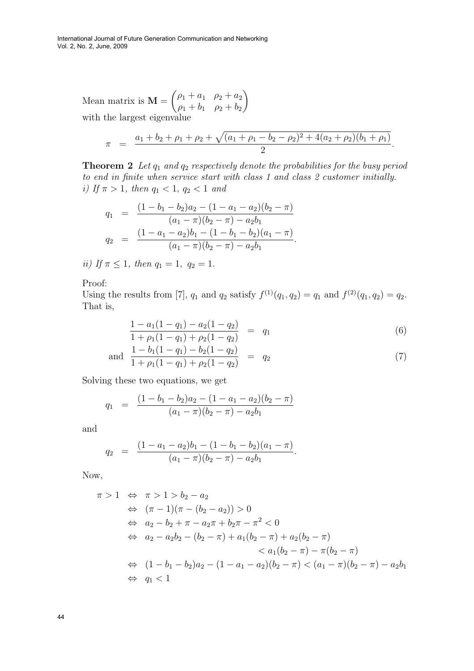Mean matrix is  $M =$  $\overline{a}$  $\rho_1 + a_1 \rho_2 + a_2$  $\rho_1 + b_1 \quad \rho_2 + b_2$  $\mathbf{r}$ with the largest eigenvalue

$$
\pi = \frac{a_1 + b_2 + \rho_1 + \rho_2 + \sqrt{(a_1 + \rho_1 - b_2 - \rho_2)^2 + 4(a_2 + \rho_2)(b_1 + \rho_1)}}{2}.
$$

**Theorem 2** Let  $q_1$  and  $q_2$  respectively denote the probabilities for the busy period to end in finite when service start with class 1 and class 2 customer initially. i) If  $\pi > 1$ , then  $q_1 < 1$ ,  $q_2 < 1$  and

$$
q_1 = \frac{(1 - b_1 - b_2)a_2 - (1 - a_1 - a_2)(b_2 - \pi)}{(a_1 - \pi)(b_2 - \pi) - a_2b_1}
$$
  

$$
q_2 = \frac{(1 - a_1 - a_2)b_1 - (1 - b_1 - b_2)(a_1 - \pi)}{(a_1 - \pi)(b_2 - \pi) - a_2b_1}.
$$

ii) If  $\pi \leq 1$ , then  $q_1 = 1$ ,  $q_2 = 1$ .

Proof:

Using the results from [7],  $q_1$  and  $q_2$  satisfy  $f^{(1)}(q_1, q_2) = q_1$  and  $f^{(2)}(q_1, q_2) = q_2$ . That is,

$$
\frac{1 - a_1(1 - q_1) - a_2(1 - q_2)}{1 + \rho_1(1 - q_1) + \rho_2(1 - q_2)} = q_1
$$
\n(6)

and 
$$
\frac{1 - b_1(1 - q_1) - b_2(1 - q_2)}{1 + \rho_1(1 - q_1) + \rho_2(1 - q_2)} = q_2
$$
 (7)

Solving these two equations, we get

$$
q_1 = \frac{(1 - b_1 - b_2)a_2 - (1 - a_1 - a_2)(b_2 - \pi)}{(a_1 - \pi)(b_2 - \pi) - a_2b_1}
$$

and

$$
q_2 = \frac{(1 - a_1 - a_2)b_1 - (1 - b_1 - b_2)(a_1 - \pi)}{(a_1 - \pi)(b_2 - \pi) - a_2b_1}.
$$

Now,

$$
\pi > 1 \Leftrightarrow \pi > 1 > b_2 - a_2
$$
  
\n
$$
\Leftrightarrow (\pi - 1)(\pi - (b_2 - a_2)) > 0
$$
  
\n
$$
\Leftrightarrow a_2 - b_2 + \pi - a_2\pi + b_2\pi - \pi^2 < 0
$$
  
\n
$$
\Leftrightarrow a_2 - a_2b_2 - (b_2 - \pi) + a_1(b_2 - \pi) + a_2(b_2 - \pi)
$$
  
\n
$$
< a_1(b_2 - \pi) - \pi(b_2 - \pi)
$$
  
\n
$$
\Leftrightarrow (1 - b_1 - b_2)a_2 - (1 - a_1 - a_2)(b_2 - \pi) < (a_1 - \pi)(b_2 - \pi) - a_2b_1
$$
  
\n
$$
\Leftrightarrow q_1 < 1
$$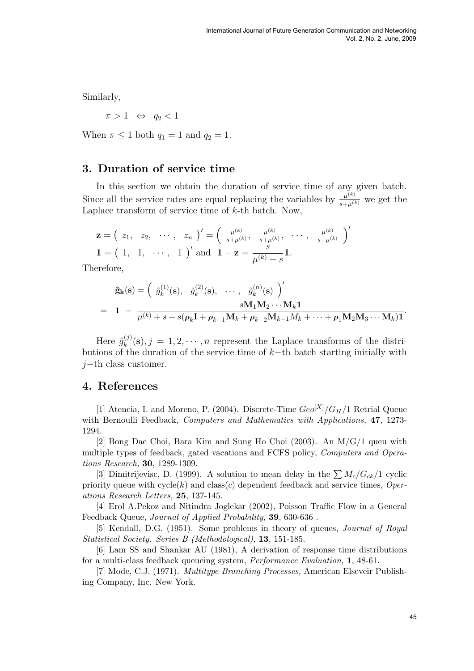Similarly,

 $\pi > 1 \Leftrightarrow q_2 < 1$ 

When  $\pi \leq 1$  both  $q_1 = 1$  and  $q_2 = 1$ .

## 3. Duration of service time

In this section we obtain the duration of service time of any given batch. Since all the service rates are equal replacing the variables by  $\frac{\mu^{(k)}}{s+\mu^{(k)}}$  we get the Laplace transform of service time of  $k$ -th batch. Now,

$$
\mathbf{z} = (z_1, z_2, \cdots, z_n)' = \left(\begin{array}{cc} \frac{\mu^{(k)}}{s + \mu^{(k)}}, & \frac{\mu^{(k)}}{s + \mu^{(k)}}, & \cdots, & \frac{\mu^{(k)}}{s + \mu^{(k)}} \end{array}\right)'
$$
  

$$
\mathbf{1} = (1, 1, \cdots, 1)' \text{ and } \mathbf{1} - \mathbf{z} = \frac{s}{\mu^{(k)} + s} \mathbf{1}.
$$

Therefore,

$$
\hat{\mathbf{g}}_{\mathbf{k}}(\mathbf{s}) = \begin{pmatrix} \hat{g}_k^{(1)}(\mathbf{s}), & \hat{g}_k^{(2)}(\mathbf{s}), & \cdots, & \hat{g}_k^{(n)}(\mathbf{s}) \end{pmatrix}'
$$
  
=  $\mathbf{1} - \frac{s\mathbf{M}_1\mathbf{M}_2\cdots\mathbf{M}_k\mathbf{1}}{\mu^{(k)} + s + s(\rho_k\mathbf{I} + \rho_{k-1}\mathbf{M}_k + \rho_{k-2}\mathbf{M}_{k-1}M_k + \cdots + \rho_1\mathbf{M}_2\mathbf{M}_3\cdots\mathbf{M}_k)\mathbf{1}}.$ 

Here  $\hat{g}^{(j)}_k$  $_{k}^{(j)}(\mathbf{s}), j = 1, 2, \cdots, n$  represent the Laplace transforms of the distributions of the duration of the service time of k−th batch starting initially with  $j$ −th class customer.

### 4. References

[1] Atencia, I. and Moreno, P. (2004). Discrete-Time  $Geo<sup>[X]</sup>/G_H/1$  Retrial Queue with Bernoulli Feedback, *Computers and Mathematics with Applications*, **47**, 1273-1294.

[2] Bong Dae Choi, Bara Kim and Sung Ho Choi (2003). An M/G/1 queu with multiple types of feedback, gated vacations and FCFS policy, Computers and Operations Research, 30, 1289-1309.

[3] Dimitrijevisc, D. (1999). A solution to mean delay in the  $\sum M_c/G_{ck}/1$  cyclic priority queue with  $cycle(k)$  and  $class(c)$  dependent feedback and service times, Operations Research Letters, 25, 137-145.

[4] Erol A.Pekoz and Nitindra Joglekar (2002), Poisson Traffic Flow in a General Feedback Queue, Journal of Applied Probability, 39, 630-636 .

[5] Kendall, D.G. (1951). Some problems in theory of queues, Journal of Royal Statistical Society. Series B (Methodological), 13, 151-185.

[6] Lam SS and Shankar AU (1981), A derivation of response time distributions for a multi-class feedback queueing system, Performance Evaluation, 1, 48-61.

[7] Mode, C.J. (1971). Multitype Branching Processes, American Elseveir Publishing Company, Inc. New York.